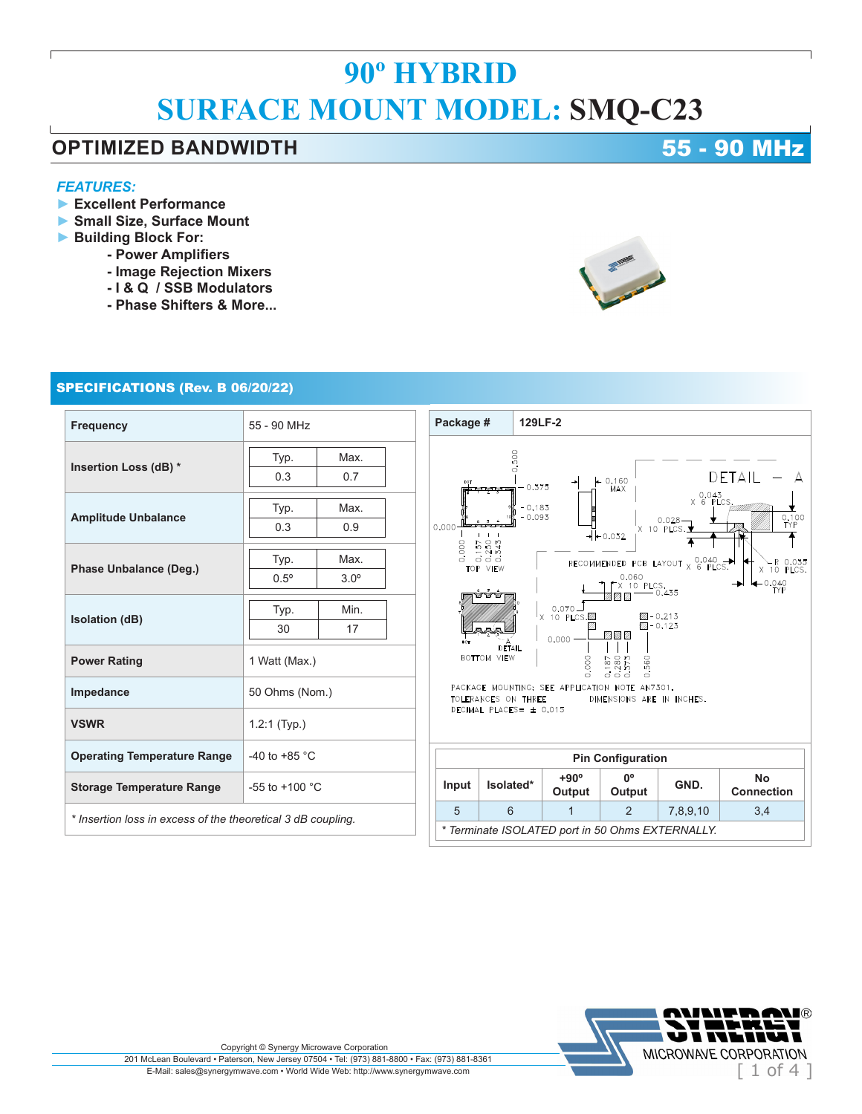### **OPTIMIZED BANDWIDTH 1989 CONTRACT 10 MHz**

### *FEATURES:*

- **► Excellent Performance**
- **► Small Size, Surface Mount**
- **► Building Block For:**
	- **Power Amplifiers**
	- **Image Rejection Mixers**
	- **I & Q / SSB Modulators**
	- **Phase Shifters & More...**

### SPECIFICATIONS (Rev. B 06/20/22)

| <b>Frequency</b>                                             | 55 - 90 MHz              |             |
|--------------------------------------------------------------|--------------------------|-------------|
| Insertion Loss (dB) *                                        | Typ.                     | Max.        |
|                                                              | 0.3                      | 0.7         |
| <b>Amplitude Unbalance</b>                                   | Typ.                     | Max.        |
|                                                              | 0.3                      | 0.9         |
| Phase Unbalance (Deg.)                                       | Typ.                     | Max.        |
|                                                              | $0.5^{\circ}$            | $3.0^\circ$ |
| <b>Isolation (dB)</b>                                        | Typ.                     | Min.        |
|                                                              | 30                       | 17          |
| <b>Power Rating</b>                                          | 1 Watt (Max.)            |             |
| Impedance                                                    | 50 Ohms (Nom.)           |             |
| <b>VSWR</b>                                                  | $1.2:1$ (Typ.)           |             |
| <b>Operating Temperature Range</b>                           | -40 to +85 $^{\circ}$ C  |             |
| <b>Storage Temperature Range</b>                             | -55 to +100 $^{\circ}$ C |             |
| * Insertion loss in excess of the theoretical 3 dB coupling. |                          |             |



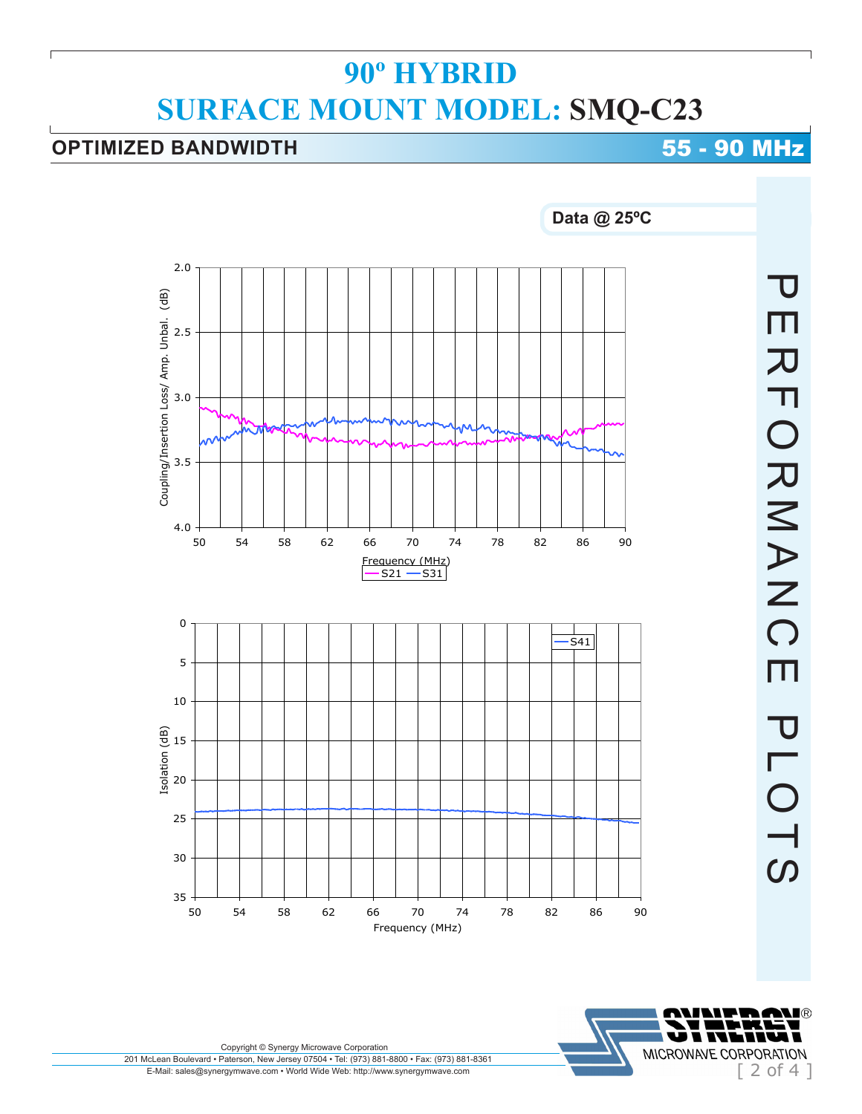## **OPTIMIZED BANDWIDTH 6 20 MHz**



**PERFORMANC** PERFORMANCE PLOTS  $\overline{m}$ **PLOTS** 

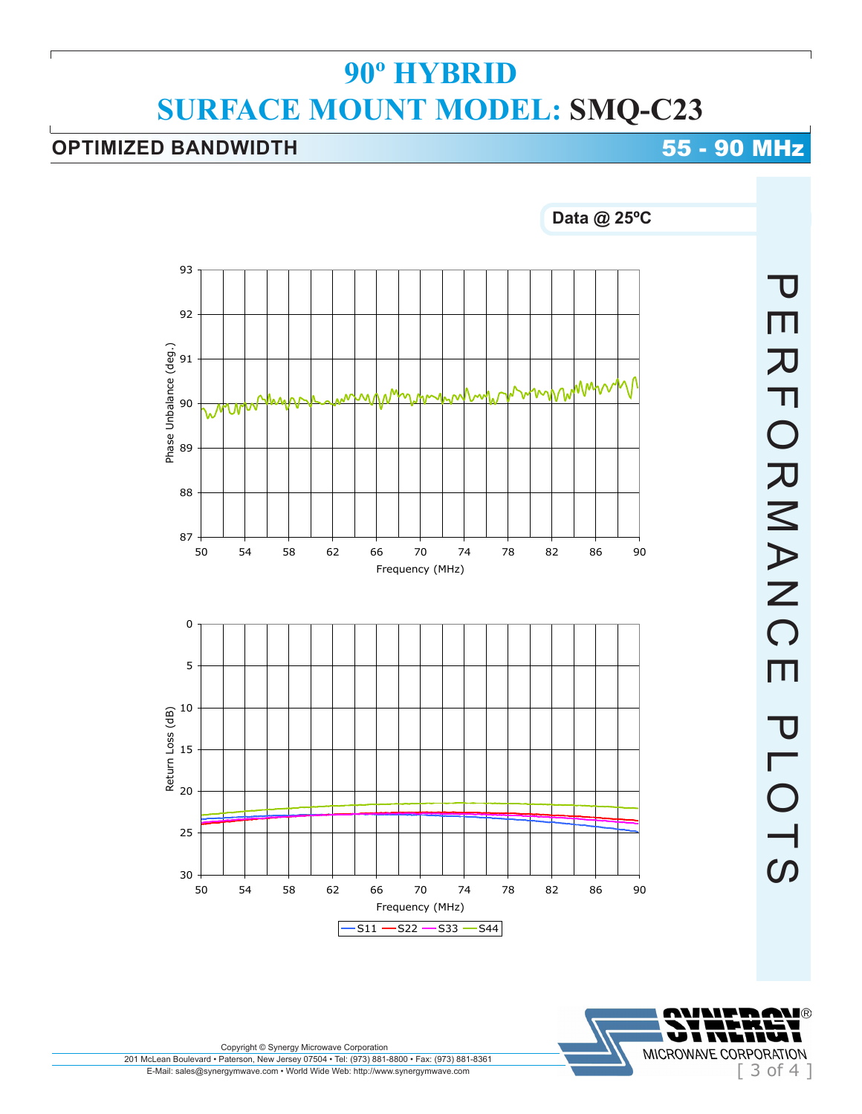## **OPTIMIZED BANDWIDTH 6 20 MHz**





201 McLean Boulevard • Paterson, New Jersey 07504 • Tel: (973) 881-8800 • Fax: (973) 881-8361 E-Mail: sales@synergymwave.com • World Wide Web: http://www.synergymwave.com Copyright © Synergy Microwave Corporation